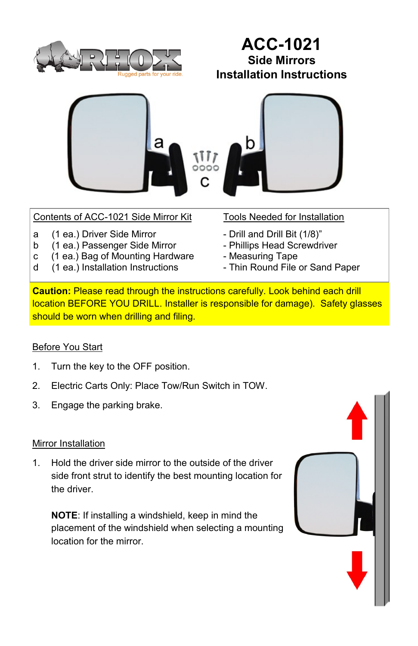

## **ACC-1021 Side Mirrors Installation Instructions**



## Contents of ACC-1021 Side Mirror Kit Tools Needed for Installation

- a (1 ea.) Driver Side Mirror Drill and Drill Bit (1/8)"<br>b (1 ea.) Passenger Side Mirror Phillips Head Screwdriver
- b (1 ea.) Passenger Side Mirror
- c (1 ea.) Bag of Mounting Hardware Measuring Tape
- d (1 ea.) Installation Instructions Thin Round File or Sand Paper

- 
- 
- 
- 

**Caution:** Please read through the instructions carefully. Look behind each drill location BEFORE YOU DRILL. Installer is responsible for damage). Safety glasses should be worn when drilling and filing.

## **Before You Start**

- 1. Turn the key to the OFF position.
- 2. Electric Carts Only: Place Tow/Run Switch in TOW.
- 3. Engage the parking brake.

## Mirror Installation

1. Hold the driver side mirror to the outside of the driver side front strut to identify the best mounting location for the driver.

**NOTE**: If installing a windshield, keep in mind the placement of the windshield when selecting a mounting location for the mirror.